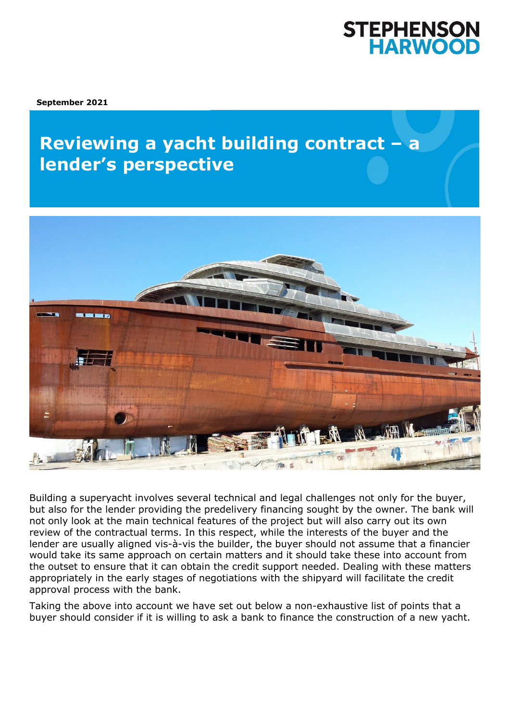# **STEPHENSON<br>HARWOOD**

**September 2021**

## **Reviewing a yacht building contract - a knowledge insolvency about the Corporate Insolvency and**  $\mathbb{Z}$



Building a superyacht involves several technical and legal challenges not only for the buyer, but also for the lender providing the predelivery financing sought by the owner. The bank will not only look at the main technical features of the project but will also carry out its own review of the contractual terms. In this respect, while the interests of the buyer and the lender are usually aligned vis-à-vis the builder, the buyer should not assume that a financier would take its same approach on certain matters and it should take these into account from the outset to ensure that it can obtain the credit support needed. Dealing with these matters appropriately in the early stages of negotiations with the shipyard will facilitate the credit approval process with the bank.

Taking the above into account we have set out below a non-exhaustive list of points that a buyer should consider if it is willing to ask a bank to finance the construction of a new yacht.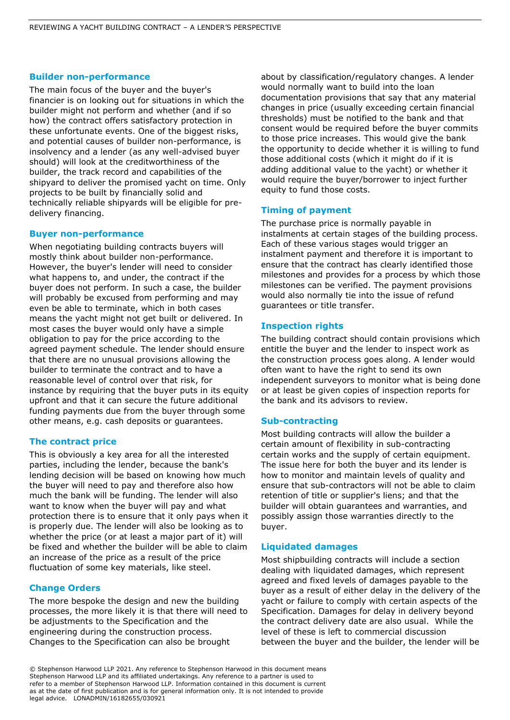#### **Builder non-performance**

The main focus of the buyer and the buyer's financier is on looking out for situations in which the builder might not perform and whether (and if so how) the contract offers satisfactory protection in these unfortunate events. One of the biggest risks, and potential causes of builder non-performance, is insolvency and a lender (as any well-advised buyer should) will look at the creditworthiness of the builder, the track record and capabilities of the shipyard to deliver the promised yacht on time. Only projects to be built by financially solid and technically reliable shipyards will be eligible for predelivery financing.

#### **Buyer non-performance**

When negotiating building contracts buyers will mostly think about builder non-performance. However, the buyer's lender will need to consider what happens to, and under, the contract if the buyer does not perform. In such a case, the builder will probably be excused from performing and may even be able to terminate, which in both cases means the yacht might not get built or delivered. In most cases the buyer would only have a simple obligation to pay for the price according to the agreed payment schedule. The lender should ensure that there are no unusual provisions allowing the builder to terminate the contract and to have a reasonable level of control over that risk, for instance by requiring that the buyer puts in its equity upfront and that it can secure the future additional funding payments due from the buyer through some other means, e.g. cash deposits or guarantees.

#### **The contract price**

This is obviously a key area for all the interested parties, including the lender, because the bank's lending decision will be based on knowing how much the buyer will need to pay and therefore also how much the bank will be funding. The lender will also want to know when the buyer will pay and what protection there is to ensure that it only pays when it is properly due. The lender will also be looking as to whether the price (or at least a major part of it) will be fixed and whether the builder will be able to claim an increase of the price as a result of the price fluctuation of some key materials, like steel.

#### **Change Orders**

The more bespoke the design and new the building processes, the more likely it is that there will need to be adjustments to the Specification and the engineering during the construction process. Changes to the Specification can also be brought

about by classification/regulatory changes. A lender would normally want to build into the loan documentation provisions that say that any material changes in price (usually exceeding certain financial thresholds) must be notified to the bank and that consent would be required before the buyer commits to those price increases. This would give the bank the opportunity to decide whether it is willing to fund those additional costs (which it might do if it is adding additional value to the yacht) or whether it would require the buyer/borrower to inject further equity to fund those costs.

#### **Timing of payment**

The purchase price is normally payable in instalments at certain stages of the building process. Each of these various stages would trigger an instalment payment and therefore it is important to ensure that the contract has clearly identified those milestones and provides for a process by which those milestones can be verified. The payment provisions would also normally tie into the issue of refund guarantees or title transfer.

#### **Inspection rights**

The building contract should contain provisions which entitle the buyer and the lender to inspect work as the construction process goes along. A lender would often want to have the right to send its own independent surveyors to monitor what is being done or at least be given copies of inspection reports for the bank and its advisors to review.

#### **Sub-contracting**

Most building contracts will allow the builder a certain amount of flexibility in sub-contracting certain works and the supply of certain equipment. The issue here for both the buyer and its lender is how to monitor and maintain levels of quality and ensure that sub-contractors will not be able to claim retention of title or supplier's liens; and that the builder will obtain guarantees and warranties, and possibly assign those warranties directly to the buyer.

#### **Liquidated damages**

Most shipbuilding contracts will include a section dealing with liquidated damages, which represent agreed and fixed levels of damages payable to the buyer as a result of either delay in the delivery of the yacht or failure to comply with certain aspects of the Specification. Damages for delay in delivery beyond the contract delivery date are also usual. While the level of these is left to commercial discussion between the buyer and the builder, the lender will be

© Stephenson Harwood LLP 2021. Any reference to Stephenson Harwood in this document means Stephenson Harwood LLP and its affiliated undertakings. Any reference to a partner is used to refer to a member of Stephenson Harwood LLP. Information contained in this document is current as at the date of first publication and is for general information only. It is not intended to provide legal advice. LONADMIN/16182655/030921